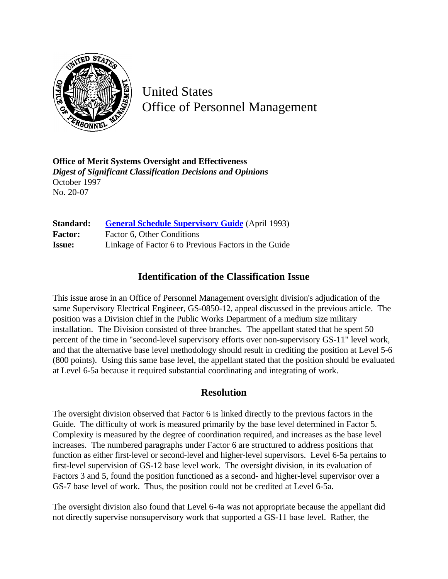

United States Office of Personnel Management

**Office of Merit Systems Oversight and Effectiveness** *Digest of Significant Classification Decisions and Opinions* October 1997 No. 20-07

| Standard:      | <b>General Schedule Supervisory Guide</b> (April 1993) |
|----------------|--------------------------------------------------------|
| <b>Factor:</b> | Factor 6, Other Conditions                             |
| <b>Issue:</b>  | Linkage of Factor 6 to Previous Factors in the Guide   |

## **Identification of the Classification Issue**

This issue arose in an Office of Personnel Management oversight division's adjudication of the same Supervisory Electrical Engineer, GS-0850-12, appeal discussed in the previous article. The position was a Division chief in the Public Works Department of a medium size military installation. The Division consisted of three branches. The appellant stated that he spent 50 percent of the time in "second-level supervisory efforts over non-supervisory GS-11" level work, and that the alternative base level methodology should result in crediting the position at Level 5-6 (800 points). Using this same base level, the appellant stated that the position should be evaluated at Level 6-5a because it required substantial coordinating and integrating of work.

## **Resolution**

The oversight division observed that Factor 6 is linked directly to the previous factors in the Guide. The difficulty of work is measured primarily by the base level determined in Factor 5. Complexity is measured by the degree of coordination required, and increases as the base level increases. The numbered paragraphs under Factor 6 are structured to address positions that function as either first-level or second-level and higher-level supervisors. Level 6-5a pertains to first-level supervision of GS-12 base level work. The oversight division, in its evaluation of Factors 3 and 5, found the position functioned as a second- and higher-level supervisor over a GS-7 base level of work. Thus, the position could not be credited at Level 6-5a.

The oversight division also found that Level 6-4a was not appropriate because the appellant did not directly supervise nonsupervisory work that supported a GS-11 base level. Rather, the